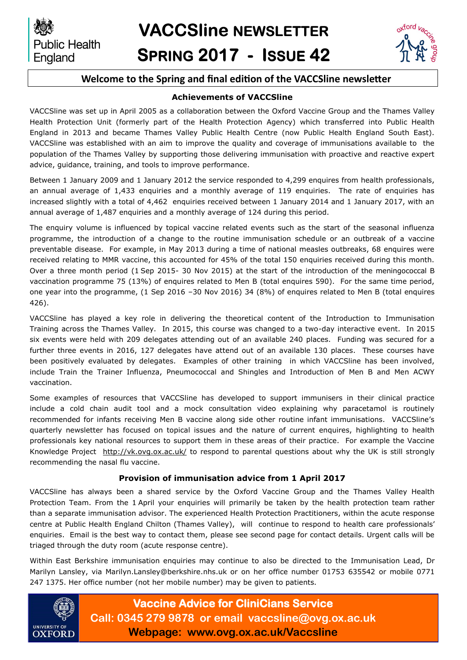

## **Welcome to the Spring and final edition of the VACCSline newsletter**

#### **Achievements of VACCSline**

VACCSline was set up in April 2005 as a collaboration between the Oxford Vaccine Group and the Thames Valley Health Protection Unit (formerly part of the Health Protection Agency) which transferred into Public Health England in 2013 and became Thames Valley Public Health Centre (now Public Health England South East). VACCSline was established with an aim to improve the quality and coverage of immunisations available to the population of the Thames Valley by supporting those delivering immunisation with proactive and reactive expert advice, guidance, training, and tools to improve performance.

Between 1 January 2009 and 1 January 2012 the service responded to 4,299 enquires from health professionals, an annual average of 1,433 enquiries and a monthly average of 119 enquiries. The rate of enquiries has increased slightly with a total of 4,462 enquiries received between 1 January 2014 and 1 January 2017, with an annual average of 1,487 enquiries and a monthly average of 124 during this period.

The enquiry volume is influenced by topical vaccine related events such as the start of the seasonal influenza programme, the introduction of a change to the routine immunisation schedule or an outbreak of a vaccine preventable disease. For example, in May 2013 during a time of national measles outbreaks, 68 enquires were received relating to MMR vaccine, this accounted for 45% of the total 150 enquiries received during this month. Over a three month period (1 Sep 2015- 30 Nov 2015) at the start of the introduction of the meningococcal B vaccination programme 75 (13%) of enquires related to Men B (total enquires 590). For the same time period, one year into the programme, (1 Sep 2016 –30 Nov 2016) 34 (8%) of enquires related to Men B (total enquires 426).

VACCSline has played a key role in delivering the theoretical content of the Introduction to Immunisation Training across the Thames Valley. In 2015, this course was changed to a two-day interactive event. In 2015 six events were held with 209 delegates attending out of an available 240 places. Funding was secured for a further three events in 2016, 127 delegates have attend out of an available 130 places. These courses have been positively evaluated by delegates. Examples of other training in which VACCSline has been involved, include Train the Trainer Influenza, Pneumococcal and Shingles and Introduction of Men B and Men ACWY vaccination.

Some examples of resources that VACCSline has developed to support immunisers in their clinical practice include a cold chain audit tool and a mock consultation video explaining why paracetamol is routinely recommended for infants receiving Men B vaccine along side other routine infant immunisations. VACCSline's quarterly newsletter has focused on topical issues and the nature of current enquires, highlighting to health professionals key national resources to support them in these areas of their practice. For example the Vaccine Knowledge Project <http://vk.ovg.ox.ac.uk/> to respond to parental questions about why the UK is still strongly recommending the nasal flu vaccine.

## **Provision of immunisation advice from 1 April 2017**

VACCSline has always been a shared service by the Oxford Vaccine Group and the Thames Valley Health Protection Team. From the 1 April your enquiries will primarily be taken by the health protection team rather than a separate immunisation advisor. The experienced Health Protection Practitioners, within the acute response centre at Public Health England Chilton (Thames Valley), will continue to respond to health care professionals' enquiries. Email is the best way to contact them, please see second page for contact details. Urgent calls will be triaged through the duty room (acute response centre).

Within East Berkshire immunisation enquiries may continue to also be directed to the Immunisation Lead, Dr Marilyn Lansley, via Marilyn.Lansley@berkshire.nhs.uk or on her office number 01753 635542 or mobile 0771 247 1375. Her office number (not her mobile number) may be given to patients.



**Vaccine Advice for CliniCians Service Call: 0345 279 9878 or email vaccsline@ovg.ox.ac.uk Webpage: www.ovg.ox.ac.uk/Vaccsline**